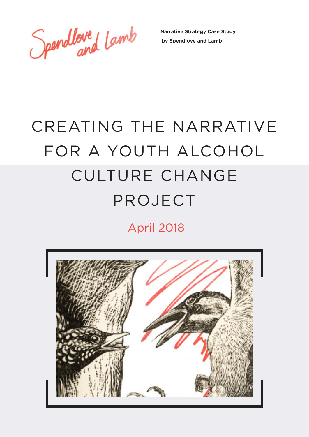Spendloved Lamb

**Narrative Strategy Case Study by Spendlove and Lamb**

# CREATING THE NARRATIVE FOR A YOUTH ALCOHOL CULTURE CHANGE PROJECT

April 2018

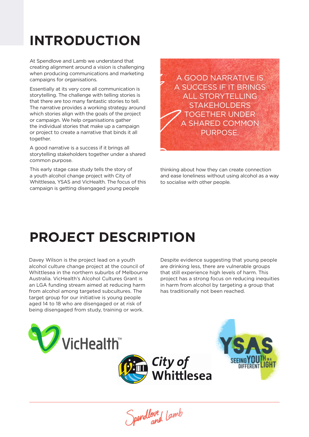### **INTRODUCTION**

At Spendlove and Lamb we understand that creating alignment around a vision is challenging when producing communications and marketing campaigns for organisations.

Essentially at its very core all communication is storytelling. The challenge with telling stories is that there are too many fantastic stories to tell. The narrative provides a working strategy around which stories align with the goals of the project or campaign. We help organisations gather the individual stories that make up a campaign or project to create a narrative that binds it all together.

A good narrative is a success if it brings all storytelling stakeholders together under a shared common purpose.

This early stage case study tells the story of a youth alcohol change project with City of Whittlesea, YSAS and VicHealth. The focus of this campaign is getting disengaged young people

A GOOD NARRATIVE IS A SUCCESS IF IT BRINGS ALL STORYTELLING **STAKEHOLDERS** TOGETHER UNDER A SHARED COMMON PURPOSE.

thinking about how they can create connection and ease loneliness without using alcohol as a way to socialise with other people.

### **PROJECT DESCRIPTION**

Davey Wilson is the project lead on a youth alcohol culture change project at the council of Whittlesea in the northern suburbs of Melbourne Australia. VicHealth's Alcohol Cultures Grant is an LGA funding stream aimed at reducing harm from alcohol among targeted subcultures. The target group for our initiative is young people aged 14 to 18 who are disengaged or at risk of being disengaged from study, training or work.

Despite evidence suggesting that young people are drinking less, there are vulnerable groups that still experience high levels of harm. This project has a strong focus on reducing inequities in harm from alcohol by targeting a group that has traditionally not been reached.



Spendlove Lamb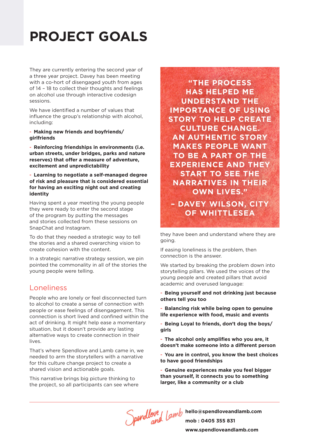# **PROJECT GOALS**

They are currently entering the second year of a three year project. Davey has been meeting with a co-hort of disengaged youth from ages of 14 – 18 to collect their thoughts and feelings on alcohol use through interactive codesign sessions.

We have identified a number of values that influence the group's relationship with alcohol, including:

#### - **Making new friends and boyfriends/ girlfriends**

- **Reinforcing friendships in environments (i.e. urban streets, under bridges, parks and nature reserves) that offer a measure of adventure, excitement and unpredictability** 

- **Learning to negotiate a self-managed degree of risk and pleasure that is considered essential for having an exciting night out and creating identity**

Having spent a year meeting the young people they were ready to enter the second stage of the program by putting the messages and stories collected from these sessions on SnapChat and Instagram.

To do that they needed a strategic way to tell the stories and a shared overarching vision to create cohesion with the content.

In a strategic narrative strategy session, we pin pointed the commonality in all of the stories the young people were telling.

#### Loneliness

People who are lonely or feel disconnected turn to alcohol to create a sense of connection with people or ease feelings of disengagement. This connection is short lived and confined within the act of drinking. It might help ease a momentary situation, but it doesn't provide any lasting alternative ways to create connection in their lives.

That's where Spendlove and Lamb came in, we needed to arm the storytellers with a narrative for this culture change project to create a shared vision and actionable goals.

This narrative brings big picture thinking to the project, so all participants can see where

**"THE PROCESS HAS HELPED ME UNDERSTAND THE IMPORTANCE OF USING STORY TO HELP CREATE CULTURE CHANGE. AN AUTHENTIC STORY MAKES PEOPLE WANT TO BE A PART OF THE EXPERIENCE AND THEY START TO SEE THE NARRATIVES IN THEIR OWN LIVES."** 

**– DAVEY WILSON, CITY OF WHITTLESEA**

they have been and understand where they are going.

If easing loneliness is the problem, then connection is the answer.

We started by breaking the problem down into storytelling pillars. We used the voices of the young people and created pillars that avoid academic and overused language:

- **Being yourself and not drinking just because others tell you too**

- **Balancing risk while being open to genuine life experience with food, music and events** 

- **Being Loyal to friends, don't dog the boys/ girls**

- **The alcohol only amplifies who you are, it doesn't make someone into a different person**

- **You are in control, you know the best choices to have good friendships**

- **Genuine experiences make you feel bigger than yourself, it connects you to something larger, like a community or a club**

**hello@spendloveandlamb.com mob : 0405 355 831 www.spendloveandlamb.com**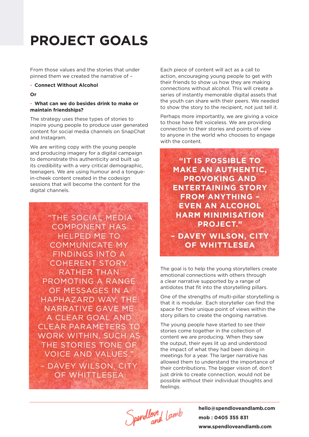### **PROJECT GOALS**

From those values and the stories that under pinned them we created the narrative of –

#### - **Connect Without Alcohol**

**Or**

#### - **What can we do besides drink to make or maintain friendships?**

The strategy uses these types of stories to inspire young people to produce user generated content for social media channels on SnapChat and Instagram.

We are writing copy with the young people and producing imagery for a digital campaign to demonstrate this authenticity and built up its credibility with a very critical demographic, teenagers. We are using humour and a tonguein-cheek content created in the codesign sessions that will become the content for the digital channels.

 "THE SOCIAL MEDIA COMPONENT HAS HELPED ME TO COMMUNICATE MY FINDINGS INTO A COHERENT STORY. RATHER THAN PROMOTING A RANGE OF MESSAGES IN A HAPHAZARD WAY, THE NARRATIVE GAVE ME A CLEAR GOAL AND CLEAR PARAMETERS TO WORK WITHIN, SUCH AS THE STORIES TONE OF VOICE AND VALUES." – DAVEY WILSON, CITY OF WHITTLESEA

Each piece of content will act as a call to action, encouraging young people to get with their friends to show us how they are making connections without alcohol. This will create a series of instantly memorable digital assets that the youth can share with their peers. We needed to show the story to the recipient, not just tell it.

Perhaps more importantly, we are giving a voice to those have felt voiceless. We are providing connection to their stories and points of view to anyone in the world who chooses to engage with the content.

**"IT IS POSSIBLE TO MAKE AN AUTHENTIC, PROVOKING AND ENTERTAINING STORY FROM ANYTHING – EVEN AN ALCOHOL HARM MINIMISATION PROJECT." – DAVEY WILSON, CITY OF WHITTLESEA**

The goal is to help the young storytellers create emotional connections with others through a clear narrative supported by a range of antidotes that fit into the storytelling pillars.

One of the strengths of multi-pillar storytelling is that it is modular. Each storyteller can find the space for their unique point of views within the story pillars to create the ongoing narrative.

The young people have started to see their stories come together in the collection of content we are producing. When they saw the output, their eyes lit up and understood the impact of what they had been doing in meetings for a year. The larger narrative has allowed them to understand the importance of their contributions. The bigger vision of, don't just drink to create connection, would not be possible without their individual thoughts and feelings.

Spendlove Lamb

**hello@spendloveandlamb.com mob : 0405 355 831 www.spendloveandlamb.com**